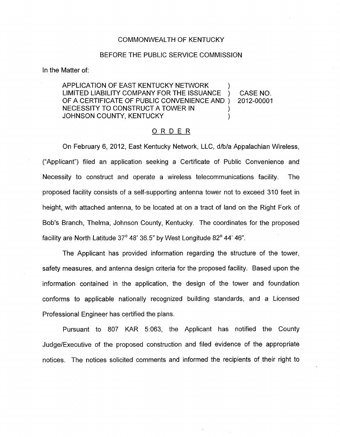## COMMONWEALTH OF KENTUCKY

## BEFORE THE PUBLIC SERVICE COMMISSION

In the Matter of:

APPLICATION OF EAST KENTUCKY NETWORK 1 LIMITED LIABILITY COMPANY FOR THE ISSUANCE ) CASE NO. OF A CERTIFICATE OF PUBLIC CONVENIENCE AND ) NECESSITY TO CONSTRUCT A TOWER IN JOHNSON COUNTY, KENTUCKY (1999) 2012-00001

## ORDER

On February 6, 2012, East Kentucky Network, LLC, d/b/a Appalachian Wireless, ("Applicant") filed an application seeking a Certificate of Public Convenience and Necessity to construct and operate a wireless telecommunications facility. The proposed facility consists of a self-supporting antenna tower not to exceed 310 feet in height, with attached antenna, to be located at on a tract of land on the Right Fork of Bob's Branch, Thelma, Johnson County, Kentucky. The coordinates for the proposed facility are North Latitude 37' 48' 36.5" by West Longitude 82' **44'** 46".

The Applicant has provided information regarding the structure of the tower, safety measures, and antenna design criteria for the proposed facility. Based upon the information contained in the application, the design of the tower and foundation conforms to applicable nationally recognized building standards, and a Licensed Professional Engineer has certified the plans.

Pursuant to 807 KAR 5:063, the Applicant has notified the County Judge/Executive of the proposed construction and filed evidence of the appropriate notices. The notices solicited comments and informed the recipients of their right to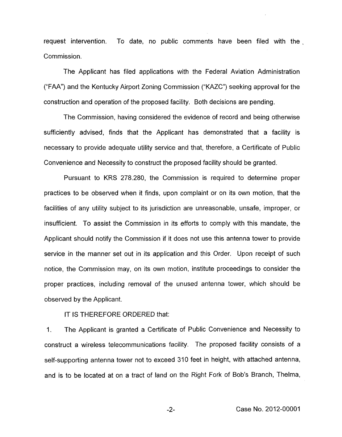request intervention. To date, no public comments have been filed with the , Commission.

The Applicant has filed applications with the Federal Aviation Administration (''FAA") and the Kentucky Airport Zoning Commission (''KAZC") seeking approval for the construction and operation of the proposed facility. Both decisions are pending.

The Commission, having considered the evidence of record and being otherwise sufficiently advised, finds that the Applicant has demonstrated that a facility is necessary to provide adequate utility service and that, therefore, a Certificate of Public Convenience and Necessity to construct the proposed facility should be granted.

Pursuant to KRS 278.280, the Commission is required to determine proper practices to be observed when it finds, upon complaint or on its own motion, that the facilities of any utility subject to its jurisdiction are unreasonable, unsafe, improper, or insufficient. To assist the Commission in its efforts to comply with this mandate, the Applicant should notify the Commission if it does not use this antenna tower to provide service in the manner set out in its application and this Order. Upon receipt of such notice, the Commission may, on its own motion, institute proceedings to consider the proper practices, including removal of the unused antenna tower, which should be observed by the Applicant.

IT IS THEREFORE ORDERED that:

1. The Applicant is granted a Certificate of Public Convenience and Necessity to construct a wireless telecommunications facility. The proposed facility consists of a self-supporting antenna tower not to exceed 310 feet in height, with attached antenna, and is to be located at on a tract of land on the Right Fork of Bob's Branch, Thelma,

-2- Case No. 2012-00001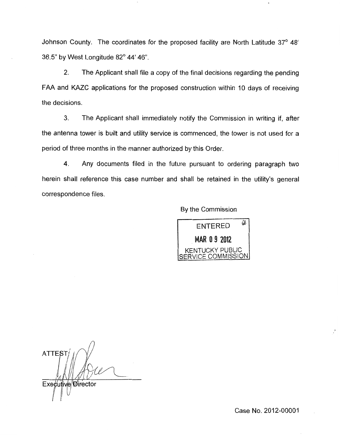Johnson County. The coordinates for the proposed facility are North Latitude 37° 48' 36.5" by West Longitude  $82^{\circ}$  44' 46".

2. The Applicant shall file a copy of the final decisions regarding the pending FAA and KAZC applications for the proposed construction within 10 days of receiving the decisions.

**3.** The Applicant shall immediately notify the Commission in writing if, after the antenna tower is built and utility service is commenced, the tower is not used for a period of three months in the manner authorized by this Order.

4. Any documents filed in the future pursuant to ordering paragraph two herein shall reference this case number and shall be retained in the utility's general correspondence files.

By the Commission



**ATTEST** Executive Director

Case No. 2012-00001